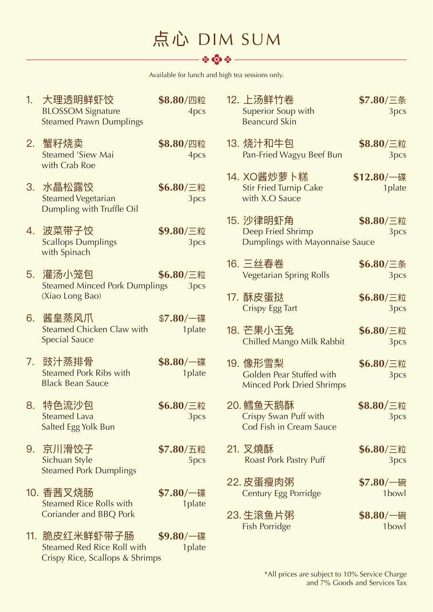# 点心 DIM SUM

Available for lunch and high tea sessions only.

| 1. | 大理透明鲜虾饺<br><b>BLOSSOM Signature</b><br><b>Steamed Prawn Dumplings</b>                     | \$8.80/四粒<br>4pcs             | 12. 上汤鲜竹卷<br>\$7.80/三条<br>Superior Soup with<br>3pcs<br><b>Beancurd Skin</b>                          |
|----|-------------------------------------------------------------------------------------------|-------------------------------|-------------------------------------------------------------------------------------------------------|
|    | 2. 蟹籽烧卖<br><b>Steamed 'Siew Mai</b><br>with Crab Roe                                      | \$8.80/四粒<br>4pcs             | 13. 烧汁和牛包<br>\$8.80/三粒<br>Pan-Fried Wagyu Beef Bun<br>3pcs                                            |
|    | 3. 水晶松露饺<br><b>Steamed Vegetarian</b><br>Dumpling with Truffle Oil                        | \$6.80/三粒<br>3pcs             | 14. XO酱炒萝卜糕<br>$$12.80/\text{--}$ 碟<br><b>Stir Fried Turnip Cake</b><br>1plate<br>with X.O Sauce      |
|    | 4. 波菜带子饺<br><b>Scallops Dumplings</b><br>with Spinach                                     | \$9.80/三粒<br>3pcs             | 15. 沙律明虾角<br>\$8.80/三粒<br>Deep Fried Shrimp<br>3pcs<br>Dumplings with Mayonnaise Sauce                |
|    | 5. 灌汤小笼包<br><b>Steamed Minced Pork Dumplings</b>                                          | \$6.80/三粒<br>3pcs             | 16. 三丝春卷<br>\$6.80/三条<br><b>Vegetarian Spring Rolls</b><br>3pcs                                       |
|    | (Xiao Long Bao)                                                                           |                               | 17. 酥皮蛋挞<br>\$6.80/三粒<br><b>Crispy Egg Tart</b><br>3pcs                                               |
|    | 6. 酱皇蒸风爪<br>Steamed Chicken Claw with<br><b>Special Sauce</b>                             | \$7.80/一碟<br>1plate           | 18. 芒果小玉兔<br>\$6.80/三粒<br><b>Chilled Mango Milk Rabbit</b><br>3pcs                                    |
|    | 7. 豉汁蒸排骨<br><b>Steamed Pork Ribs with</b><br><b>Black Bean Sauce</b>                      | $$8.80/\text{--}$ 碟<br>1plate | 19. 像形雪梨<br>\$6.80/三粒<br>Golden Pear Stuffed with<br>3pcs<br><b>Minced Pork Dried Shrimps</b>         |
|    | 8. 特色流沙包<br>Steamed Lava<br>Salted Egg Yolk Bun                                           | \$6.80/三粒<br>3pcs             | 20. 鳕鱼天鹅酥<br>\$8.80/三粒<br><b>Crispy Swan Puff with</b><br>3 <sub>pcs</sub><br>Cod Fish in Cream Sauce |
| 9. | 京川滑饺子<br>Sichuan Style<br><b>Steamed Pork Dumplings</b>                                   | \$7.80/五粒<br>5pcs             | 21. 叉燒酥<br>$$6.80/\equiv$ 粒<br>Roast Pork Pastry Puff<br>3pcs                                         |
|    | 10. 香茜叉烧肠<br><b>Steamed Rice Rolls with</b>                                               | $$7.80/\text{--}$ 碟<br>1plate | 22. 皮蛋瘦肉粥<br>$$7.80/\text{m}$ 碗<br><b>Century Egg Porridge</b><br>1bowl                               |
|    | Coriander and BBQ Pork                                                                    |                               | 23. 生滚鱼片粥<br>$$8.80/\text{m}$ 碗<br><b>Fish Porridge</b><br>1bowl                                      |
|    | 11. 脆皮红米鲜虾带子肠<br>Steamed Red Rice Roll with<br><b>Crispy Rice, Scallops &amp; Shrimps</b> | $$9.80/\text{--}$ 碟<br>1plate |                                                                                                       |